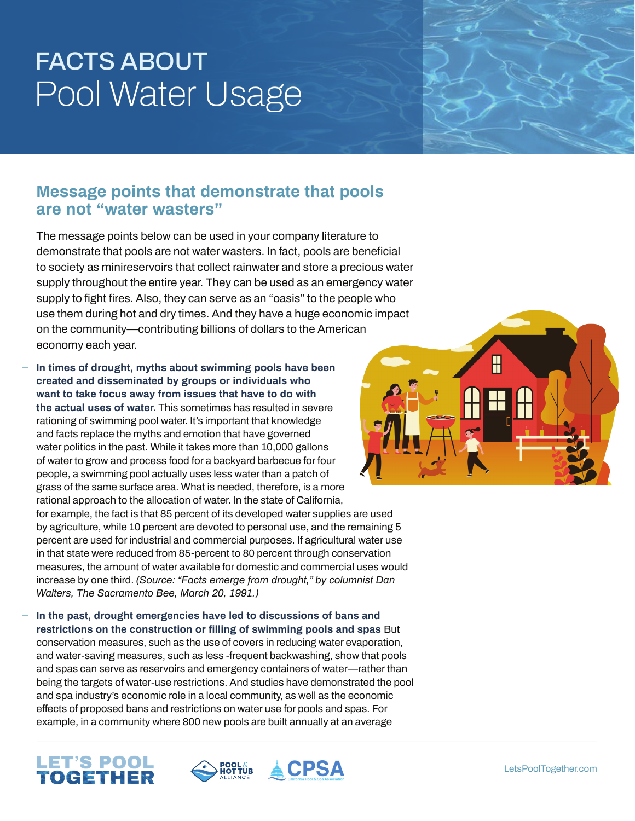#### **Message points that demonstrate that pools are not "water wasters"**

The message points below can be used in your company literature to demonstrate that pools are not water wasters. In fact, pools are beneficial to society as minireservoirs that collect rainwater and store a precious water supply throughout the entire year. They can be used as an emergency water supply to fight fires. Also, they can serve as an "oasis" to the people who use them during hot and dry times. And they have a huge economic impact on the community—contributing billions of dollars to the American economy each year.

**ɴ In times of drought, myths about swimming pools have been created and disseminated by groups or individuals who want to take focus away from issues that have to do with the actual uses of water.** This sometimes has resulted in severe rationing of swimming pool water. It's important that knowledge and facts replace the myths and emotion that have governed water politics in the past. While it takes more than 10,000 gallons of water to grow and process food for a backyard barbecue for four people, a swimming pool actually uses less water than a patch of grass of the same surface area. What is needed, therefore, is a more rational approach to the allocation of water. In the state of California, for example, the fact is that 85 percent of its developed water supplies are used by agriculture, while 10 percent are devoted to personal use, and the remaining 5 percent are used for industrial and commercial purposes. If agricultural water use in that state were reduced from 85-percent to 80 percent through conservation measures, the amount of water available for domestic and commercial uses would increase by one third. *(Source: "Facts emerge from drought," by columnist Dan Walters, The Sacramento Bee, March 20, 1991.)*

**ɴ In the past, drought emergencies have led to discussions of bans and restrictions on the construction or filling of swimming pools and spas** But conservation measures, such as the use of covers in reducing water evaporation, and water-saving measures, such as less -frequent backwashing, show that pools and spas can serve as reservoirs and emergency containers of water—rather than being the targets of water-use restrictions. And studies have demonstrated the pool and spa industry's economic role in a local community, as well as the economic effects of proposed bans and restrictions on water use for pools and spas. For example, in a community where 800 new pools are built annually at an average







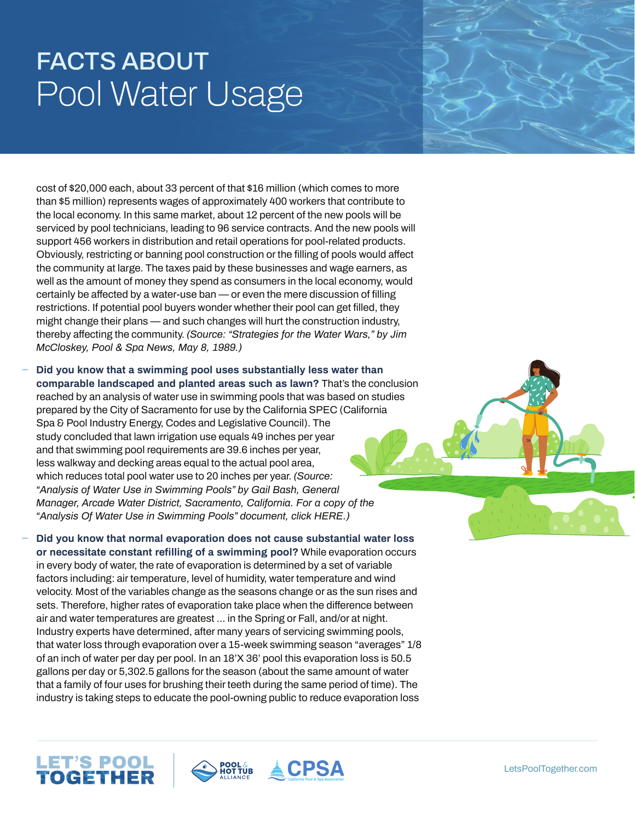cost of \$20,000 each, about 33 percent of that \$16 million (which comes to more than \$5 million) represents wages of approximately 400 workers that contribute to the local economy. In this same market, about 12 percent of the new pools will be serviced by pool technicians, leading to 96 service contracts. And the new pools will support 456 workers in distribution and retail operations for pool-related products. Obviously, restricting or banning pool construction or the filling of pools would affect the community at large. The taxes paid by these businesses and wage earners, as well as the amount of money they spend as consumers in the local economy, would certainly be affected by a water-use ban — or even the mere discussion of filling restrictions. If potential pool buyers wonder whether their pool can get filled, they might change their plans — and such changes will hurt the construction industry, thereby affecting the community. *(Source: "Strategies for the Water Wars," by Jim McCloskey, Pool & Spa News, May 8, 1989.)*

**ɴ Did you know that a swimming pool uses substantially less water than comparable landscaped and planted areas such as lawn?** That's the conclusion reached by an analysis of water use in swimming pools that was based on studies prepared by the City of Sacramento for use by the California SPEC (California Spa & Pool Industry Energy, Codes and Legislative Council). The study concluded that lawn irrigation use equals 49 inches per year and that swimming pool requirements are 39.6 inches per year, less walkway and decking areas equal to the actual pool area, which reduces total pool water use to 20 inches per year. *(Source: "Analysis of Water Use in Swimming Pools" by Gail Bash, General Manager, Arcade Water District, Sacramento, California. For a copy of the "Analysis Of Water Use in Swimming Pools" document, click HERE.)*

**ɴ Did you know that normal evaporation does not cause substantial water loss or necessitate constant refilling of a swimming pool?** While evaporation occurs in every body of water, the rate of evaporation is determined by a set of variable factors including: air temperature, level of humidity, water temperature and wind velocity. Most of the variables change as the seasons change or as the sun rises and sets. Therefore, higher rates of evaporation take place when the difference between air and water temperatures are greatest ... in the Spring or Fall, and/or at night. Industry experts have determined, after many years of servicing swimming pools, that water loss through evaporation over a 15-week swimming season "averages" 1/8 of an inch of water per day per pool. In an 18'X 36' pool this evaporation loss is 50.5 gallons per day or 5,302.5 gallons for the season (about the same amount of water that a family of four uses for brushing their teeth during the same period of time). The industry is taking steps to educate the pool-owning public to reduce evaporation loss





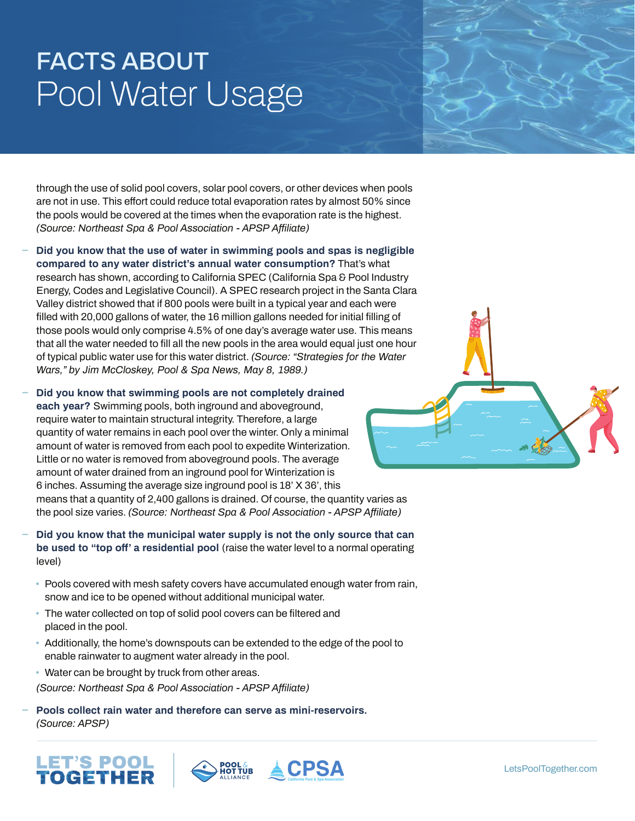through the use of solid pool covers, solar pool covers, or other devices when pools are not in use. This effort could reduce total evaporation rates by almost 50% since the pools would be covered at the times when the evaporation rate is the highest. *(Source: Northeast Spa & Pool Association - APSP Affiliate)*

- **ɴ Did you know that the use of water in swimming pools and spas is negligible compared to any water district's annual water consumption?** That's what research has shown, according to California SPEC (California Spa & Pool Industry Energy, Codes and Legislative Council). A SPEC research project in the Santa Clara Valley district showed that if 800 pools were built in a typical year and each were filled with 20,000 gallons of water, the 16 million gallons needed for initial filling of those pools would only comprise 4.5% of one day's average water use. This means that all the water needed to fill all the new pools in the area would equal just one hour of typical public water use for this water district. *(Source: "Strategies for the Water Wars," by Jim McCloskey, Pool & Spa News, May 8, 1989.)*
- **ɴ Did you know that swimming pools are not completely drained each year?** Swimming pools, both inground and aboveground, require water to maintain structural integrity. Therefore, a large quantity of water remains in each pool over the winter. Only a minimal amount of water is removed from each pool to expedite Winterization. Little or no water is removed from aboveground pools. The average amount of water drained from an inground pool for Winterization is 6 inches. Assuming the average size inground pool is 18' X 36', this means that a quantity of 2,400 gallons is drained. Of course, the quantity varies as the pool size varies. *(Source: Northeast Spa & Pool Association - APSP Affiliate)*
- **ɴ Did you know that the municipal water supply is not the only source that can be used to "top off' a residential pool** (raise the water level to a normal operating level)
	- Pools covered with mesh safety covers have accumulated enough water from rain, snow and ice to be opened without additional municipal water.
	- The water collected on top of solid pool covers can be filtered and placed in the pool.
	- Additionally, the home's downspouts can be extended to the edge of the pool to enable rainwater to augment water already in the pool.
	- Water can be brought by truck from other areas.
	- *(Source: Northeast Spa & Pool Association APSP Affiliate)*
- **ɴ Pools collect rain water and therefore can serve as mini-reservoirs.** *(Source: APSP)*